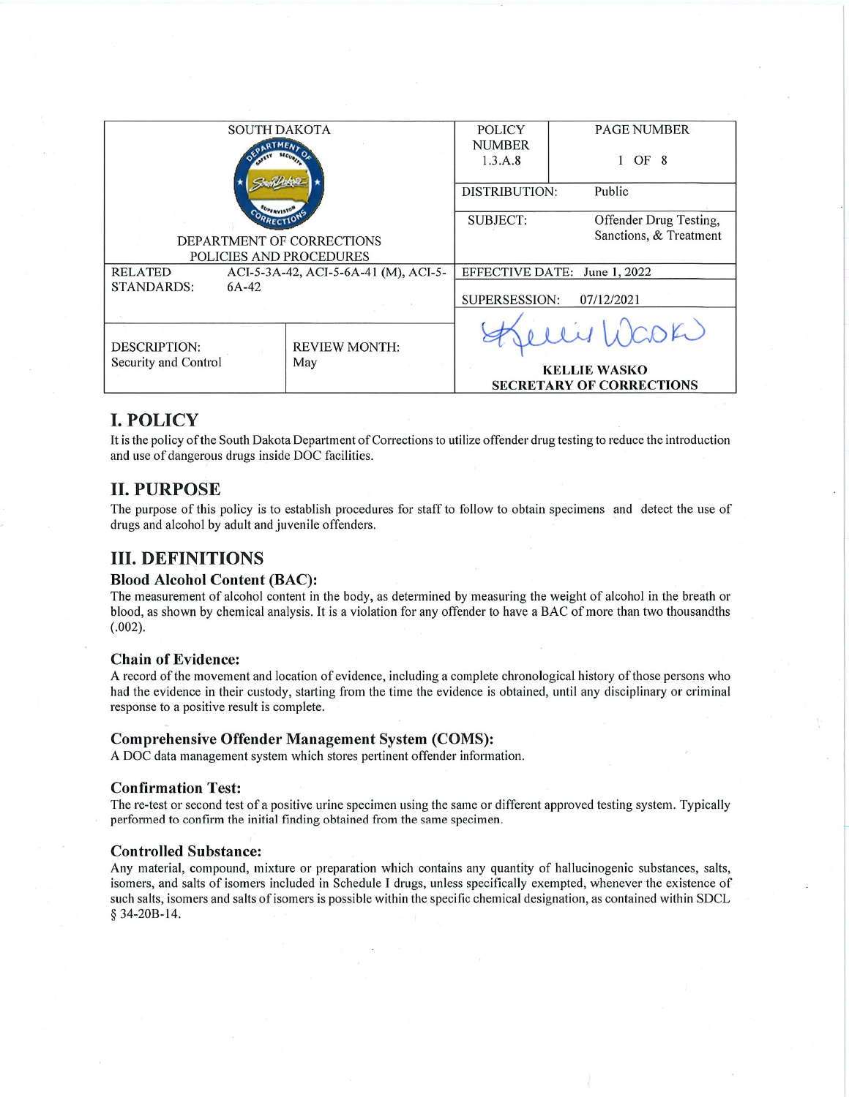| <b>SOUTH DAKOTA</b>                                    |  |                              | <b>POLICY</b>       | <b>PAGE NUMBER</b>              |
|--------------------------------------------------------|--|------------------------------|---------------------|---------------------------------|
|                                                        |  |                              | <b>NUMBER</b>       |                                 |
|                                                        |  |                              | 1.3.A.8             | OF 8                            |
|                                                        |  |                              |                     |                                 |
|                                                        |  |                              | DISTRIBUTION:       | Public                          |
|                                                        |  |                              |                     |                                 |
|                                                        |  |                              | <b>SUBJECT:</b>     | Offender Drug Testing,          |
|                                                        |  | DEPARTMENT OF CORRECTIONS    |                     | Sanctions, & Treatment          |
| POLICIES AND PROCEDURES                                |  |                              |                     |                                 |
| ACI-5-3A-42, ACI-5-6A-41 (M), ACI-5-<br><b>RELATED</b> |  | EFFECTIVE DATE: June 1, 2022 |                     |                                 |
| STANDARDS:<br>$6A-42$                                  |  |                              |                     |                                 |
|                                                        |  | SUPERSESSION:<br>07/12/2021  |                     |                                 |
|                                                        |  |                              |                     |                                 |
|                                                        |  |                              |                     | WOOK                            |
| <b>DESCRIPTION:</b>                                    |  | <b>REVIEW MONTH:</b>         |                     |                                 |
| Security and Control                                   |  | May                          | <b>KELLIE WASKO</b> |                                 |
|                                                        |  |                              |                     | <b>SECRETARY OF CORRECTIONS</b> |
|                                                        |  |                              |                     |                                 |

## **I. POLICY**

It is the policy of the South Dakota Department of Corrections to utilize offender drug testing to reduce the introduction and use of dangerous drugs inside DOC facilities.

## **II. PURPOSE**

The purpose of this policy is to establish procedures for staff to follow to obtain specimens and detect the use of drugs and alcohol by adult and juvenile offenders.

## **III. DEFINITIONS**

#### **Blood Alcohol Content (BAC):**

The measurement of alcohol content in the body, as determined by measuring the weight of alcohol in the breath or blood, as shown by chemical analysis. It is a violation for any offender to have a BAC of more than two thousandths  $(.002).$ 

#### **Chain of Evidence:**

A record of the movement and location of evidence, including a complete chronological history of those persons who had the evidence in their custody, starting from the time the evidence is obtained, until any disciplinary or criminal response to a positive result is complete.

#### **Comprehensive Offender Management System (COMS):**

A DOC data management system which stores pertinent offender information.

#### **Confirmation Test:**

The re-test or second test of a positive urine specimen using the same or different approved testing system. Typically performed to confirm the initial finding obtained from the same specimen.

#### **Controlled Substance:**

Any material, compound, mixture or preparation which contains any quantity of hallucinogenic substances, salts, isomers, and salts of isomers included in Schedule I drugs, unless specifically exempted, whenever the existence of such salts, isomers and salts of isomers is possible within the specific chemical designation, as contained within SDCL § 34-20B-14.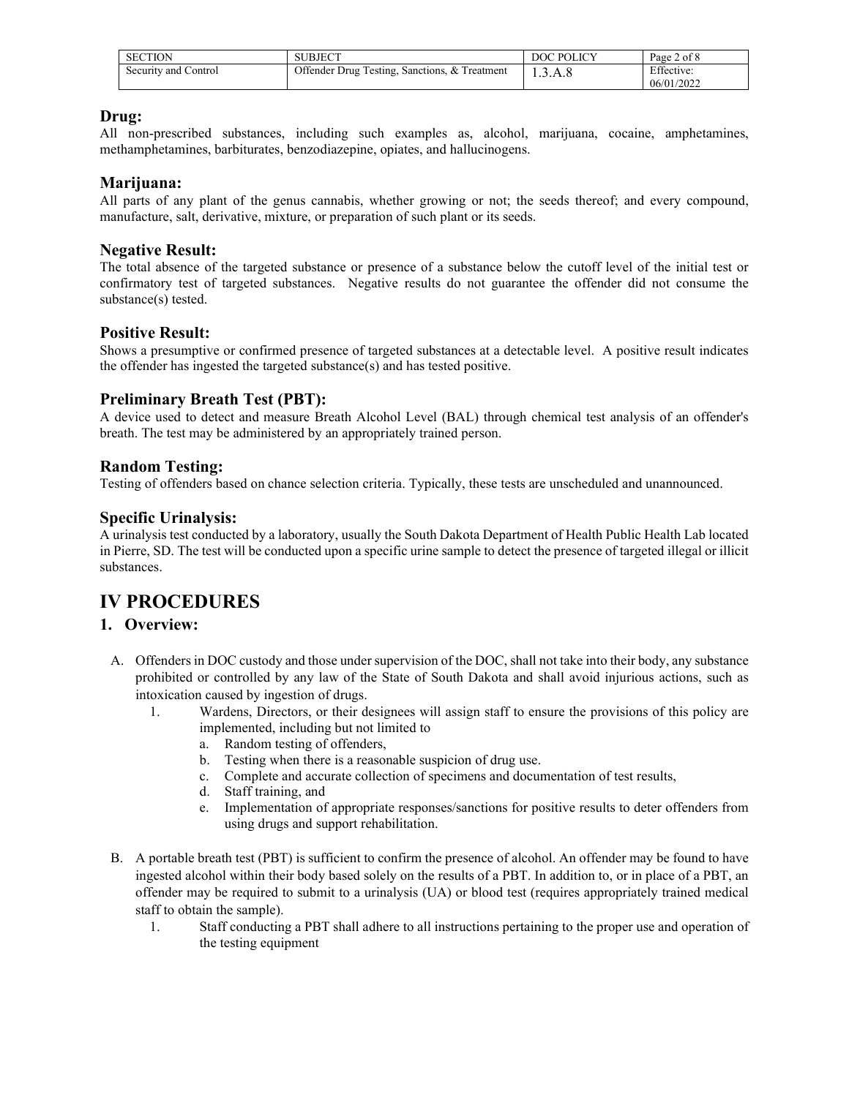| <b>SECTION</b>       | SUBJECT                                       | DOC POLICY | Page 2 of 8              |
|----------------------|-----------------------------------------------|------------|--------------------------|
| Security and Control | Offender Drug Testing, Sanctions, & Treatment | .3.A.8     | Effective:<br>06/01/2022 |

#### **Drug:**

All non-prescribed substances, including such examples as, alcohol, marijuana, cocaine, amphetamines, methamphetamines, barbiturates, benzodiazepine, opiates, and hallucinogens.

#### **Marijuana:**

All parts of any plant of the genus cannabis, whether growing or not; the seeds thereof; and every compound, manufacture, salt, derivative, mixture, or preparation of such plant or its seeds.

#### **Negative Result:**

The total absence of the targeted substance or presence of a substance below the cutoff level of the initial test or confirmatory test of targeted substances. Negative results do not guarantee the offender did not consume the substance(s) tested.

#### **Positive Result:**

Shows a presumptive or confirmed presence of targeted substances at a detectable level. A positive result indicates the offender has ingested the targeted substance(s) and has tested positive.

## **Preliminary Breath Test (PBT):**

A device used to detect and measure Breath Alcohol Level (BAL) through chemical test analysis of an offender's breath. The test may be administered by an appropriately trained person.

## **Random Testing:**

Testing of offenders based on chance selection criteria. Typically, these tests are unscheduled and unannounced.

### **Specific Urinalysis:**

A urinalysis test conducted by a laboratory, usually the South Dakota Department of Health Public Health Lab located in Pierre, SD. The test will be conducted upon a specific urine sample to detect the presence of targeted illegal or illicit substances.

# **IV PROCEDURES**

### **1. Overview:**

- A. Offenders in DOC custody and those under supervision of the DOC, shall not take into their body, any substance prohibited or controlled by any law of the State of South Dakota and shall avoid injurious actions, such as intoxication caused by ingestion of drugs.
	- 1. Wardens, Directors, or their designees will assign staff to ensure the provisions of this policy are implemented, including but not limited to
		- a. Random testing of offenders,
		- b. Testing when there is a reasonable suspicion of drug use.
		- c. Complete and accurate collection of specimens and documentation of test results,
		- d. Staff training, and
		- e. Implementation of appropriate responses/sanctions for positive results to deter offenders from using drugs and support rehabilitation.
- B. A portable breath test (PBT) is sufficient to confirm the presence of alcohol. An offender may be found to have ingested alcohol within their body based solely on the results of a PBT. In addition to, or in place of a PBT, an offender may be required to submit to a urinalysis (UA) or blood test (requires appropriately trained medical staff to obtain the sample).
	- 1. Staff conducting a PBT shall adhere to all instructions pertaining to the proper use and operation of the testing equipment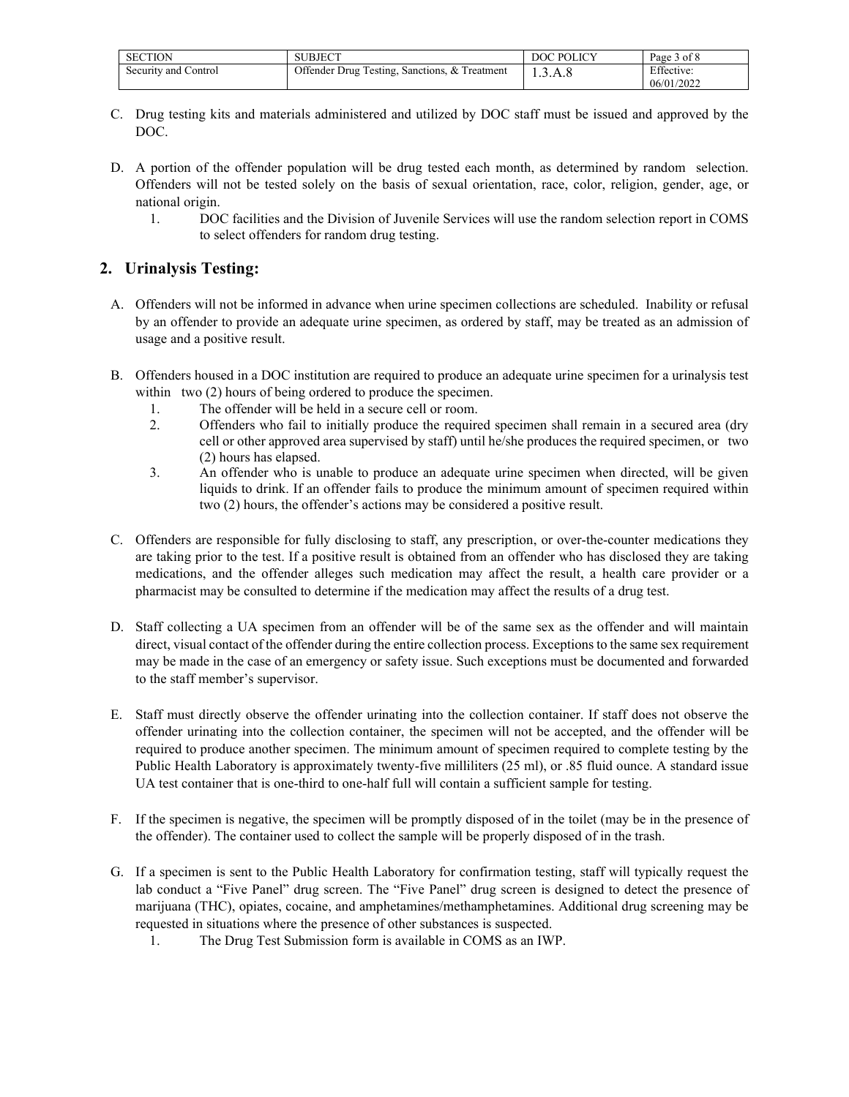| <b>SECTION</b>       | SUBJECT                                       | DOC POLICY | Page 3 of 8 |
|----------------------|-----------------------------------------------|------------|-------------|
| Security and Control | Offender Drug Testing, Sanctions, & Treatment | 1.3.A.8    | Effective:  |
|                      |                                               |            | 06/01/2022  |

- C. Drug testing kits and materials administered and utilized by DOC staff must be issued and approved by the DOC.
- D. A portion of the offender population will be drug tested each month, as determined by random selection. Offenders will not be tested solely on the basis of sexual orientation, race, color, religion, gender, age, or national origin.
	- 1. DOC facilities and the Division of Juvenile Services will use the random selection report in COMS to select offenders for random drug testing.

### **2. Urinalysis Testing:**

- A. Offenders will not be informed in advance when urine specimen collections are scheduled. Inability or refusal by an offender to provide an adequate urine specimen, as ordered by staff, may be treated as an admission of usage and a positive result.
- B. Offenders housed in a DOC institution are required to produce an adequate urine specimen for a urinalysis test within two (2) hours of being ordered to produce the specimen.
	- 1. The offender will be held in a secure cell or room.
	- 2. Offenders who fail to initially produce the required specimen shall remain in a secured area (dry cell or other approved area supervised by staff) until he/she produces the required specimen, or two (2) hours has elapsed.
	- 3. An offender who is unable to produce an adequate urine specimen when directed, will be given liquids to drink. If an offender fails to produce the minimum amount of specimen required within two (2) hours, the offender's actions may be considered a positive result.
- C. Offenders are responsible for fully disclosing to staff, any prescription, or over-the-counter medications they are taking prior to the test. If a positive result is obtained from an offender who has disclosed they are taking medications, and the offender alleges such medication may affect the result, a health care provider or a pharmacist may be consulted to determine if the medication may affect the results of a drug test.
- D. Staff collecting a UA specimen from an offender will be of the same sex as the offender and will maintain direct, visual contact of the offender during the entire collection process. Exceptions to the same sex requirement may be made in the case of an emergency or safety issue. Such exceptions must be documented and forwarded to the staff member's supervisor.
- E. Staff must directly observe the offender urinating into the collection container. If staff does not observe the offender urinating into the collection container, the specimen will not be accepted, and the offender will be required to produce another specimen. The minimum amount of specimen required to complete testing by the Public Health Laboratory is approximately twenty-five milliliters (25 ml), or .85 fluid ounce. A standard issue UA test container that is one-third to one-half full will contain a sufficient sample for testing.
- F. If the specimen is negative, the specimen will be promptly disposed of in the toilet (may be in the presence of the offender). The container used to collect the sample will be properly disposed of in the trash.
- G. If a specimen is sent to the Public Health Laboratory for confirmation testing, staff will typically request the lab conduct a "Five Panel" drug screen. The "Five Panel" drug screen is designed to detect the presence of marijuana (THC), opiates, cocaine, and amphetamines/methamphetamines. Additional drug screening may be requested in situations where the presence of other substances is suspected.
	- 1. The Drug Test Submission form is available in COMS as an IWP.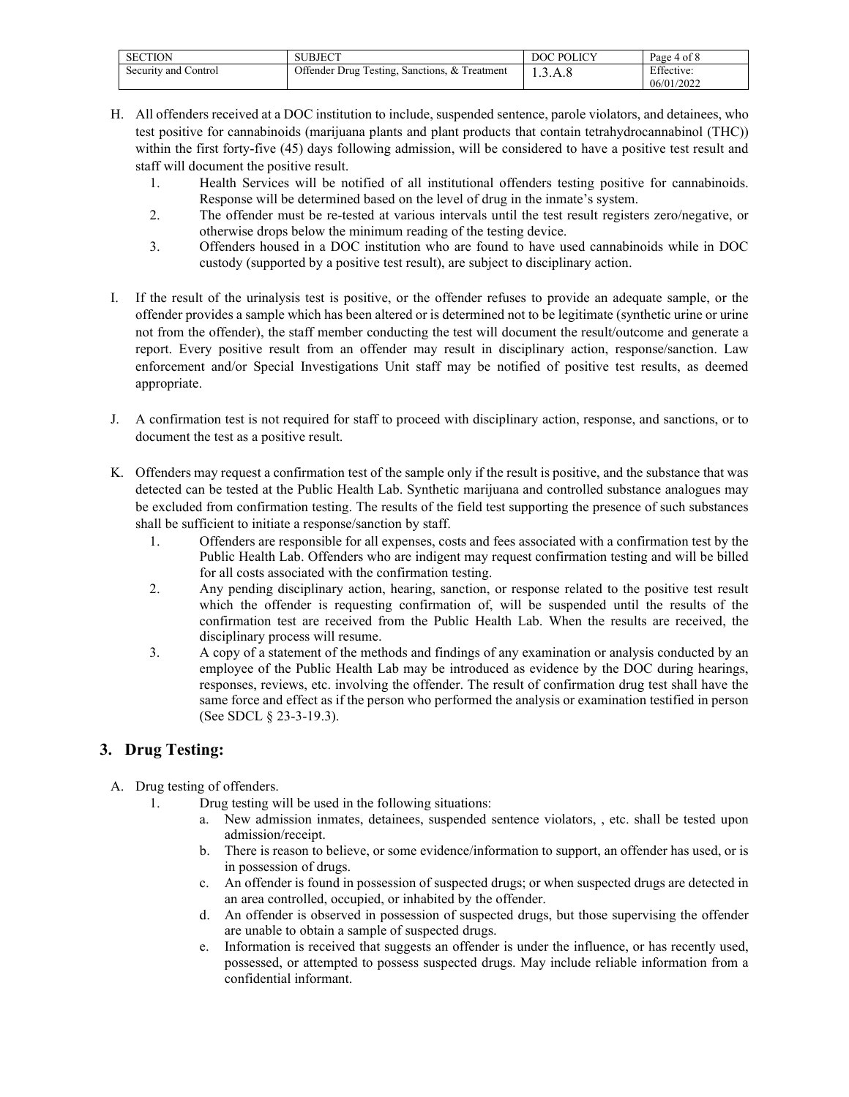| <b>SECTION</b>       | SUBJECT                                       | DOC POLICY | Page 4 of 8              |
|----------------------|-----------------------------------------------|------------|--------------------------|
| Security and Control | Offender Drug Testing, Sanctions, & Treatment | 1.3.A.8    | Effective:<br>06/01/2022 |

- H. All offenders received at a DOC institution to include, suspended sentence, parole violators, and detainees, who test positive for cannabinoids (marijuana plants and plant products that contain tetrahydrocannabinol (THC)) within the first forty-five (45) days following admission, will be considered to have a positive test result and staff will document the positive result.
	- 1. Health Services will be notified of all institutional offenders testing positive for cannabinoids. Response will be determined based on the level of drug in the inmate's system.
	- 2. The offender must be re-tested at various intervals until the test result registers zero/negative, or otherwise drops below the minimum reading of the testing device.
	- 3. Offenders housed in a DOC institution who are found to have used cannabinoids while in DOC custody (supported by a positive test result), are subject to disciplinary action.
- I. If the result of the urinalysis test is positive, or the offender refuses to provide an adequate sample, or the offender provides a sample which has been altered or is determined not to be legitimate (synthetic urine or urine not from the offender), the staff member conducting the test will document the result/outcome and generate a report. Every positive result from an offender may result in disciplinary action, response/sanction. Law enforcement and/or Special Investigations Unit staff may be notified of positive test results, as deemed appropriate.
- J. A confirmation test is not required for staff to proceed with disciplinary action, response, and sanctions, or to document the test as a positive result.
- K. Offenders may request a confirmation test of the sample only if the result is positive, and the substance that was detected can be tested at the Public Health Lab. Synthetic marijuana and controlled substance analogues may be excluded from confirmation testing. The results of the field test supporting the presence of such substances shall be sufficient to initiate a response/sanction by staff.
	- 1. Offenders are responsible for all expenses, costs and fees associated with a confirmation test by the Public Health Lab. Offenders who are indigent may request confirmation testing and will be billed for all costs associated with the confirmation testing.
	- 2. Any pending disciplinary action, hearing, sanction, or response related to the positive test result which the offender is requesting confirmation of, will be suspended until the results of the confirmation test are received from the Public Health Lab. When the results are received, the disciplinary process will resume.
	- 3. A copy of a statement of the methods and findings of any examination or analysis conducted by an employee of the Public Health Lab may be introduced as evidence by the DOC during hearings, responses, reviews, etc. involving the offender. The result of confirmation drug test shall have the same force and effect as if the person who performed the analysis or examination testified in person (See SDCL § 23-3-19.3).

## **3. Drug Testing:**

- A. Drug testing of offenders.
	- 1. Drug testing will be used in the following situations:
		- a. New admission inmates, detainees, suspended sentence violators, , etc. shall be tested upon admission/receipt.
		- b. There is reason to believe, or some evidence/information to support, an offender has used, or is in possession of drugs.
		- c. An offender is found in possession of suspected drugs; or when suspected drugs are detected in an area controlled, occupied, or inhabited by the offender.
		- d. An offender is observed in possession of suspected drugs, but those supervising the offender are unable to obtain a sample of suspected drugs.
		- e. Information is received that suggests an offender is under the influence, or has recently used, possessed, or attempted to possess suspected drugs. May include reliable information from a confidential informant.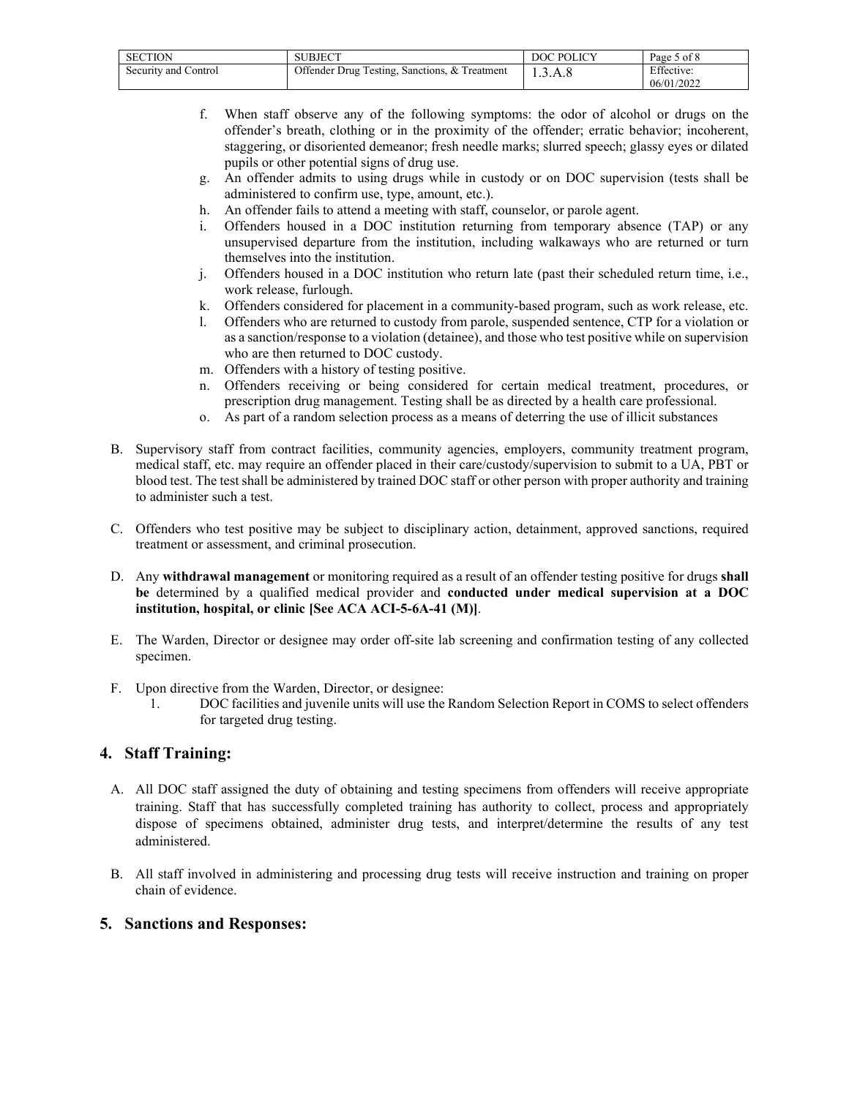| <b>SECTION</b>       | SUBJECT                                       | DOC POLICY | Page 5 of 8              |
|----------------------|-----------------------------------------------|------------|--------------------------|
| Security and Control | Offender Drug Testing, Sanctions, & Treatment | 1.3.A.8    | Effective:<br>06/01/2022 |

- f. When staff observe any of the following symptoms: the odor of alcohol or drugs on the offender's breath, clothing or in the proximity of the offender; erratic behavior; incoherent, staggering, or disoriented demeanor; fresh needle marks; slurred speech; glassy eyes or dilated pupils or other potential signs of drug use.
- g. An offender admits to using drugs while in custody or on DOC supervision (tests shall be administered to confirm use, type, amount, etc.).
- h. An offender fails to attend a meeting with staff, counselor, or parole agent.
- i. Offenders housed in a DOC institution returning from temporary absence (TAP) or any unsupervised departure from the institution, including walkaways who are returned or turn themselves into the institution.
- j. Offenders housed in a DOC institution who return late (past their scheduled return time, i.e., work release, furlough.
- k. Offenders considered for placement in a community-based program, such as work release, etc.
- l. Offenders who are returned to custody from parole, suspended sentence, CTP for a violation or as a sanction/response to a violation (detainee), and those who test positive while on supervision who are then returned to DOC custody.
- m. Offenders with a history of testing positive.
- n. Offenders receiving or being considered for certain medical treatment, procedures, or prescription drug management. Testing shall be as directed by a health care professional.
- o. As part of a random selection process as a means of deterring the use of illicit substances
- B. Supervisory staff from contract facilities, community agencies, employers, community treatment program, medical staff, etc. may require an offender placed in their care/custody/supervision to submit to a UA, PBT or blood test. The test shall be administered by trained DOC staff or other person with proper authority and training to administer such a test.
- C. Offenders who test positive may be subject to disciplinary action, detainment, approved sanctions, required treatment or assessment, and criminal prosecution.
- D. Any **withdrawal management** or monitoring required as a result of an offender testing positive for drugs **shall be** determined by a qualified medical provider and **conducted under medical supervision at a DOC institution, hospital, or clinic [See ACA ACI-5-6A-41 (M)]**.
- E. The Warden, Director or designee may order off-site lab screening and confirmation testing of any collected specimen.
- F. Upon directive from the Warden, Director, or designee:
	- 1. DOC facilities and juvenile units will use the Random Selection Report in COMS to select offenders for targeted drug testing.

## **4. Staff Training:**

- A. All DOC staff assigned the duty of obtaining and testing specimens from offenders will receive appropriate training. Staff that has successfully completed training has authority to collect, process and appropriately dispose of specimens obtained, administer drug tests, and interpret/determine the results of any test administered.
- B. All staff involved in administering and processing drug tests will receive instruction and training on proper chain of evidence.

#### **5. Sanctions and Responses:**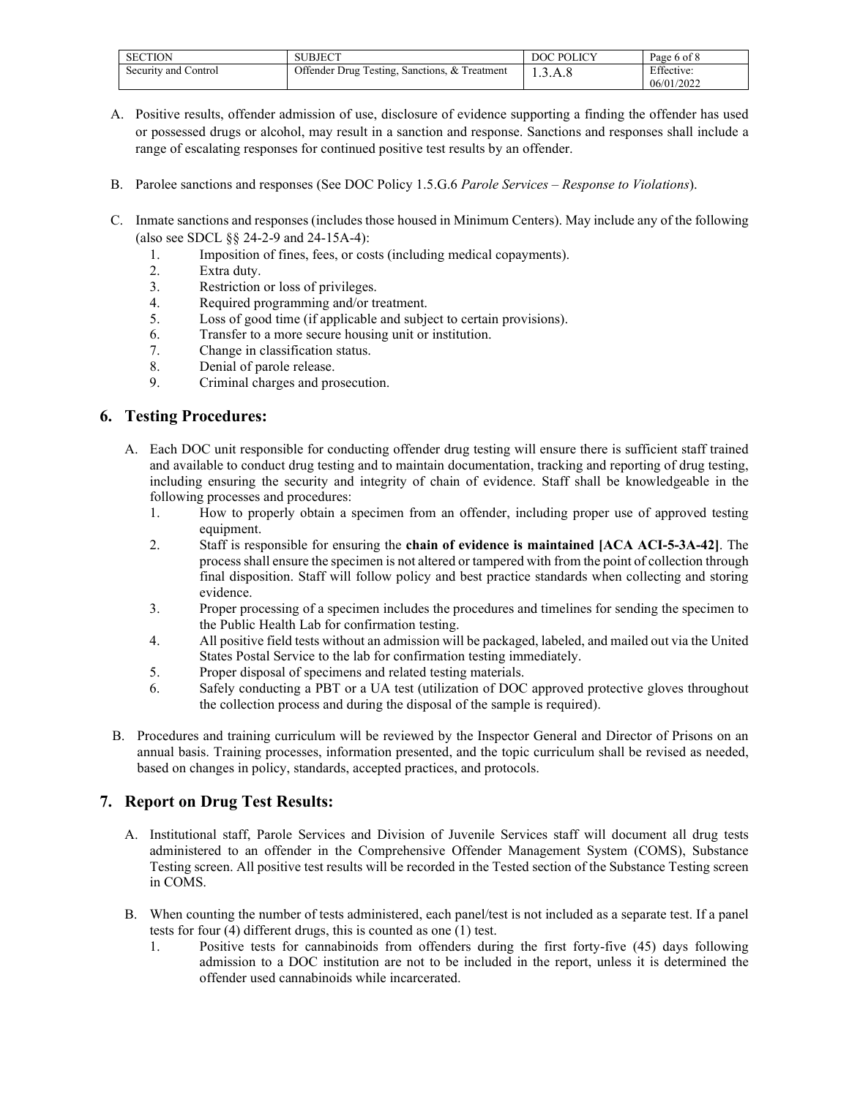| <b>SECTION</b>       | SUBJECT                                       | DOC POLICY | Page 6 of 8 |
|----------------------|-----------------------------------------------|------------|-------------|
| Security and Control | Offender Drug Testing, Sanctions, & Treatment | 1.3.A.8    | Effective:  |
|                      |                                               |            | 06/01/2022  |

- A. Positive results, offender admission of use, disclosure of evidence supporting a finding the offender has used or possessed drugs or alcohol, may result in a sanction and response. Sanctions and responses shall include a range of escalating responses for continued positive test results by an offender.
- B. Parolee sanctions and responses (See DOC Policy 1.5.G.6 *Parole Services – Response to Violations*).
- C. Inmate sanctions and responses (includes those housed in Minimum Centers). May include any of the following (also see SDCL §§ 24-2-9 and 24-15A-4):
	- 1. Imposition of fines, fees, or costs (including medical copayments).
	- 2. Extra duty.<br>3 Restriction
	- Restriction or loss of privileges.
	- 4. Required programming and/or treatment.
	- 5. Loss of good time (if applicable and subject to certain provisions).
	- 6. Transfer to a more secure housing unit or institution.
	- 7. Change in classification status.
	- 8. Denial of parole release.
	- 9. Criminal charges and prosecution.

### **6. Testing Procedures:**

- A. Each DOC unit responsible for conducting offender drug testing will ensure there is sufficient staff trained and available to conduct drug testing and to maintain documentation, tracking and reporting of drug testing, including ensuring the security and integrity of chain of evidence. Staff shall be knowledgeable in the following processes and procedures:
	- 1. How to properly obtain a specimen from an offender, including proper use of approved testing equipment.
	- 2. Staff is responsible for ensuring the **chain of evidence is maintained [ACA ACI-5-3A-42]**. The process shall ensure the specimen is not altered or tampered with from the point of collection through final disposition. Staff will follow policy and best practice standards when collecting and storing evidence.
	- 3. Proper processing of a specimen includes the procedures and timelines for sending the specimen to the Public Health Lab for confirmation testing.
	- 4. All positive field tests without an admission will be packaged, labeled, and mailed out via the United States Postal Service to the lab for confirmation testing immediately.
	- 5. Proper disposal of specimens and related testing materials.
	- 6. Safely conducting a PBT or a UA test (utilization of DOC approved protective gloves throughout the collection process and during the disposal of the sample is required).
- B. Procedures and training curriculum will be reviewed by the Inspector General and Director of Prisons on an annual basis. Training processes, information presented, and the topic curriculum shall be revised as needed, based on changes in policy, standards, accepted practices, and protocols.

## **7. Report on Drug Test Results:**

- A. Institutional staff, Parole Services and Division of Juvenile Services staff will document all drug tests administered to an offender in the Comprehensive Offender Management System (COMS), Substance Testing screen. All positive test results will be recorded in the Tested section of the Substance Testing screen in COMS.
- B. When counting the number of tests administered, each panel/test is not included as a separate test. If a panel tests for four (4) different drugs, this is counted as one (1) test.
	- 1. Positive tests for cannabinoids from offenders during the first forty-five (45) days following admission to a DOC institution are not to be included in the report, unless it is determined the offender used cannabinoids while incarcerated.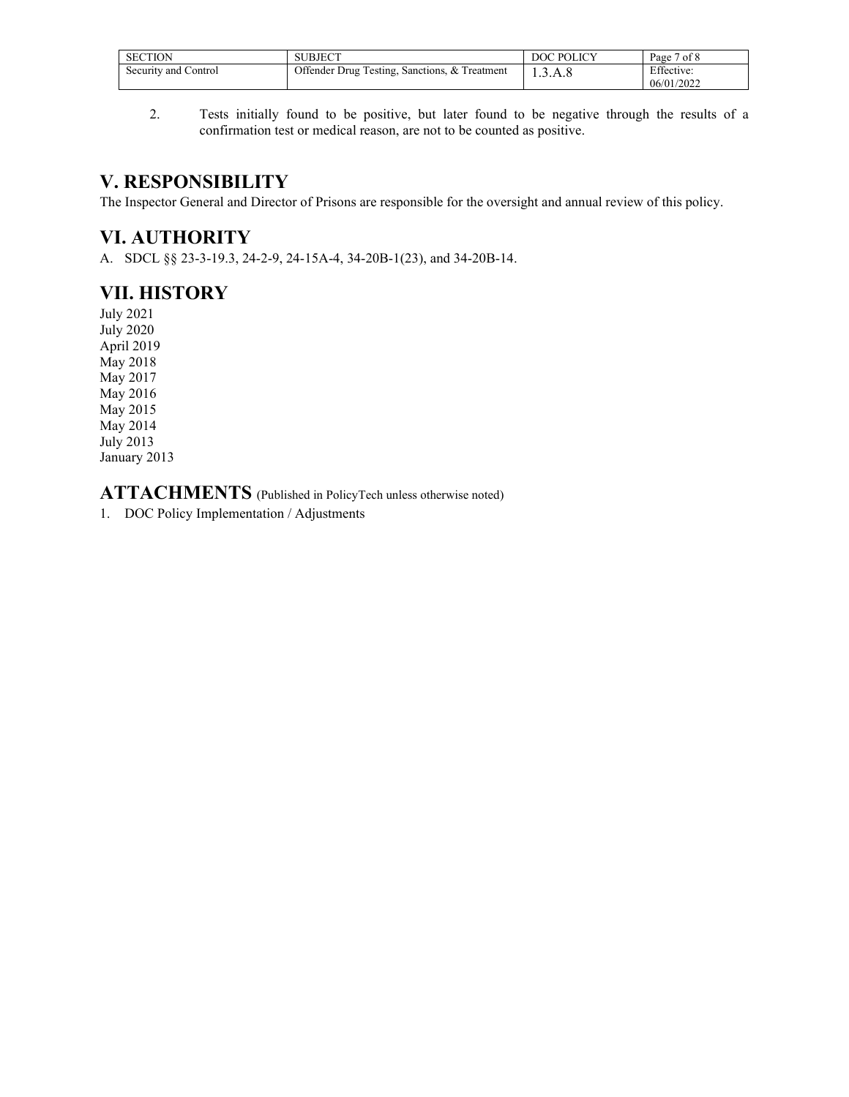| <b>SECTION</b>       | <b>SUBJECT</b>                                | DOC POLICY | Page 7 of 8              |
|----------------------|-----------------------------------------------|------------|--------------------------|
| Security and Control | Offender Drug Testing, Sanctions, & Treatment | 1.3.A.8    | Effective:<br>06/01/2022 |

2. Tests initially found to be positive, but later found to be negative through the results of a confirmation test or medical reason, are not to be counted as positive.

# **V. RESPONSIBILITY**

The Inspector General and Director of Prisons are responsible for the oversight and annual review of this policy.

# **VI. AUTHORITY**

A. SDCL §§ 23-3-19.3, 24-2-9, 24-15A-4, 34-20B-1(23), and 34-20B-14.

# **VII. HISTORY**

July 2021 July 2020 April 2019 May 2018 May 2017 May 2016 May 2015 May 2014 July 2013 January 2013

**ATTACHMENTS** (Published in PolicyTech unless otherwise noted)

1. DOC Policy Implementation / Adjustments